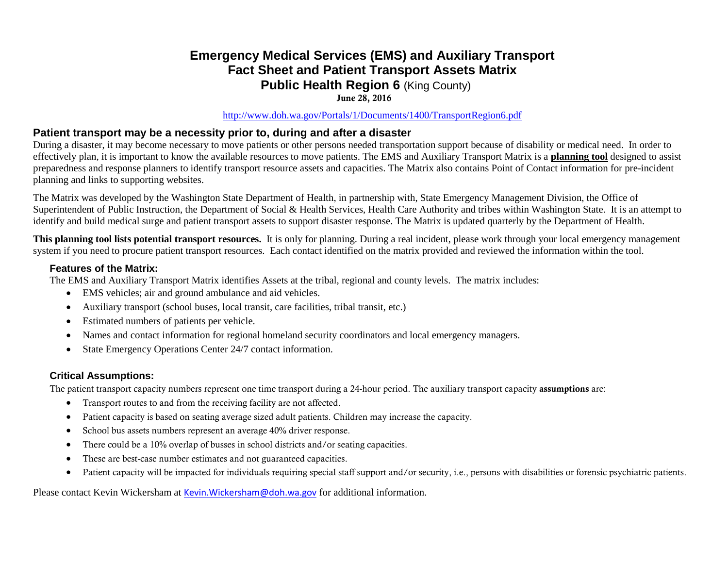## **Emergency Medical Services (EMS) and Auxiliary Transport Fact Sheet and Patient Transport Assets Matrix Public Health Region 6 (King County)**

### June 28, 2016

#### <http://www.doh.wa.gov/Portals/1/Documents/1400/TransportRegion6.pdf>

## **Patient transport may be a necessity prior to, during and after a disaster**

During a disaster, it may become necessary to move patients or other persons needed transportation support because of disability or medical need. In order to effectively plan, it is important to know the available resources to move patients. The EMS and Auxiliary Transport Matrix is a **planning tool** designed to assist preparedness and response planners to identify transport resource assets and capacities. The Matrix also contains Point of Contact information for pre-incident planning and links to supporting websites.

The Matrix was developed by the Washington State Department of Health, in partnership with, State Emergency Management Division, the Office of Superintendent of Public Instruction, the Department of Social & Health Services, Health Care Authority and tribes within Washington State. It is an attempt to identify and build medical surge and patient transport assets to support disaster response. The Matrix is updated quarterly by the Department of Health.

**This planning tool lists potential transport resources.** It is only for planning. During a real incident, please work through your local emergency management system if you need to procure patient transport resources. Each contact identified on the matrix provided and reviewed the information within the tool.

#### **Features of the Matrix:**

The EMS and Auxiliary Transport Matrix identifies Assets at the tribal, regional and county levels. The matrix includes:

- EMS vehicles; air and ground ambulance and aid vehicles.
- Auxiliary transport (school buses, local transit, care facilities, tribal transit, etc.)
- Estimated numbers of patients per vehicle.
- Names and contact information for regional homeland security coordinators and local emergency managers.
- State Emergency Operations Center 24/7 contact information.

### **Critical Assumptions:**

The patient transport capacity numbers represent one time transport during a 24-hour period. The auxiliary transport capacity assumptions are:

- Transport routes to and from the receiving facility are not affected.
- Patient capacity is based on seating average sized adult patients. Children may increase the capacity.
- School bus assets numbers represent an average 40% driver response.
- There could be a 10% overlap of busses in school districts and/or seating capacities.
- These are best-case number estimates and not guaranteed capacities.
- Patient capacity will be impacted for individuals requiring special staff support and/or security, i.e., persons with disabilities or forensic psychiatric patients.

Please contact Kevin Wickersham at [Kevin.Wickersham@doh.wa.gov](mailto:Kevin.Wickersham@doh.wa.gov) for additional information.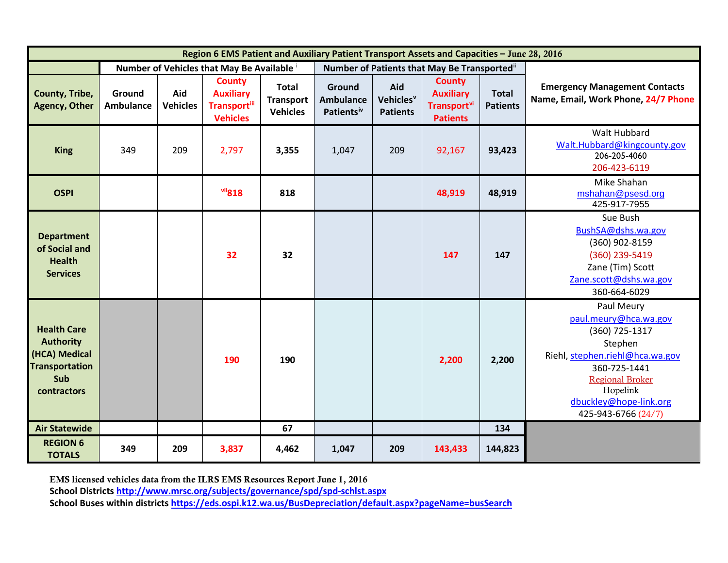| Region 6 EMS Patient and Auxiliary Patient Transport Assets and Capacities - June 28, 2016             |                                          |                        |                                                                             |                                                     |                                                      |                                                 |                                                                                        |                                 |                                                                                                                                                                                                            |
|--------------------------------------------------------------------------------------------------------|------------------------------------------|------------------------|-----------------------------------------------------------------------------|-----------------------------------------------------|------------------------------------------------------|-------------------------------------------------|----------------------------------------------------------------------------------------|---------------------------------|------------------------------------------------------------------------------------------------------------------------------------------------------------------------------------------------------------|
|                                                                                                        | Number of Vehicles that May Be Available |                        |                                                                             |                                                     | Number of Patients that May Be Transported"          |                                                 |                                                                                        |                                 |                                                                                                                                                                                                            |
| County, Tribe,<br><b>Agency, Other</b>                                                                 | Ground<br><b>Ambulance</b>               | Aid<br><b>Vehicles</b> | <b>County</b><br><b>Auxiliary</b><br><b>Transportill</b><br><b>Vehicles</b> | <b>Total</b><br><b>Transport</b><br><b>Vehicles</b> | Ground<br><b>Ambulance</b><br>Patients <sup>iv</sup> | Aid<br>Vehicles <sup>v</sup><br><b>Patients</b> | <b>County</b><br><b>Auxiliary</b><br><b>Transport</b> <sup>vi</sup><br><b>Patients</b> | <b>Total</b><br><b>Patients</b> | <b>Emergency Management Contacts</b><br>Name, Email, Work Phone, 24/7 Phone                                                                                                                                |
| <b>King</b>                                                                                            | 349                                      | 209                    | 2,797                                                                       | 3,355                                               | 1,047                                                | 209                                             | 92,167                                                                                 | 93,423                          | Walt Hubbard<br>Walt.Hubbard@kingcounty.gov<br>206-205-4060<br>206-423-6119                                                                                                                                |
| <b>OSPI</b>                                                                                            |                                          |                        | vii818                                                                      | 818                                                 |                                                      |                                                 | 48,919                                                                                 | 48,919                          | Mike Shahan<br>mshahan@psesd.org<br>425-917-7955                                                                                                                                                           |
| <b>Department</b><br>of Social and<br><b>Health</b><br><b>Services</b>                                 |                                          |                        | 32                                                                          | 32                                                  |                                                      |                                                 | 147                                                                                    | 147                             | Sue Bush<br>BushSA@dshs.wa.gov<br>(360) 902-8159<br>(360) 239-5419<br>Zane (Tim) Scott<br>Zane.scott@dshs.wa.gov<br>360-664-6029                                                                           |
| <b>Health Care</b><br><b>Authority</b><br>(HCA) Medical<br><b>Transportation</b><br>Sub<br>contractors |                                          |                        | 190                                                                         | 190                                                 |                                                      |                                                 | 2,200                                                                                  | 2,200                           | Paul Meury<br>paul.meury@hca.wa.gov<br>(360) 725-1317<br>Stephen<br>Riehl, stephen.riehl@hca.wa.gov<br>360-725-1441<br><b>Regional Broker</b><br>Hopelink<br>dbuckley@hope-link.org<br>425-943-6766 (24/7) |
| <b>Air Statewide</b>                                                                                   |                                          |                        |                                                                             | 67                                                  |                                                      |                                                 |                                                                                        | 134                             |                                                                                                                                                                                                            |
| <b>REGION 6</b><br><b>TOTALS</b>                                                                       | 349                                      | 209                    | 3,837                                                                       | 4,462                                               | 1,047                                                | 209                                             | 143,433                                                                                | 144,823                         |                                                                                                                                                                                                            |

EMS licensed vehicles data from the ILRS EMS Resources Report June 1, 2016

**School District[s http://www.mrsc.org/subjects/governance/spd/spd-schlst.aspx](http://www.mrsc.org/subjects/governance/spd/spd-schlst.aspx)**

**School Buses within districts<https://eds.ospi.k12.wa.us/BusDepreciation/default.aspx?pageName=busSearch>**